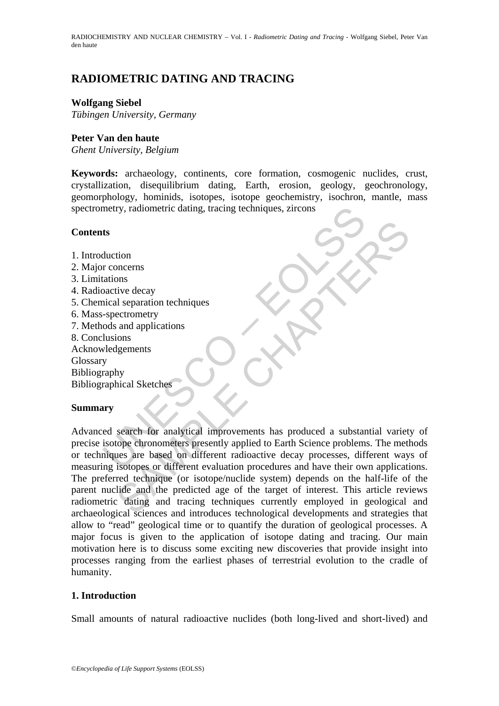# **RADIOMETRIC DATING AND TRACING**

### **Wolfgang Siebel**

*Tübingen University, Germany* 

#### **Peter Van den haute**

*Ghent University, Belgium* 

**Keywords:** archaeology, continents, core formation, cosmogenic nuclides, crust, crystallization, disequilibrium dating, Earth, erosion, geology, geochronology, geomorphology, hominids, isotopes, isotope geochemistry, isochron, mantle, mass spectrometry, radiometric dating, tracing techniques, zircons

#### **Contents**

- 1. Introduction
- 2. Major concerns
- 3. Limitations
- 4. Radioactive decay
- 5. Chemical separation techniques
- 6. Mass-spectrometry
- 7. Methods and applications
- 8. Conclusions
- Acknowledgements

**Glossary** 

Bibliography

Bibliographical Sketches

# **Summary**

metry, radiometric dating, tracing techniques, zircons<br>
ts<br>
ts<br>
duction<br>
r concerns<br>
tations<br>
active decay<br>
scapetation techniques<br>
scapetares decay<br>
class and applications<br>
lusions<br>
lusions<br>
lusions<br>
lusions<br>
veraphical S tion<br>
oncerns<br>
ons<br>
ons<br>
ons<br>
ons<br>
and applications<br>
and applications<br>
standard reconcerty<br>
hy<br>
bical Sketches<br>
search for analytical improvements has produced a substantial variet<br>
tope chronometers presently applied to E Advanced search for analytical improvements has produced a substantial variety of precise isotope chronometers presently applied to Earth Science problems. The methods or techniques are based on different radioactive decay processes, different ways of measuring isotopes or different evaluation procedures and have their own applications. The preferred technique (or isotope/nuclide system) depends on the half-life of the parent nuclide and the predicted age of the target of interest. This article reviews radiometric dating and tracing techniques currently employed in geological and archaeological sciences and introduces technological developments and strategies that allow to "read" geological time or to quantify the duration of geological processes. A major focus is given to the application of isotope dating and tracing. Our main motivation here is to discuss some exciting new discoveries that provide insight into processes ranging from the earliest phases of terrestrial evolution to the cradle of humanity.

# **1. Introduction**

Small amounts of natural radioactive nuclides (both long-lived and short-lived) and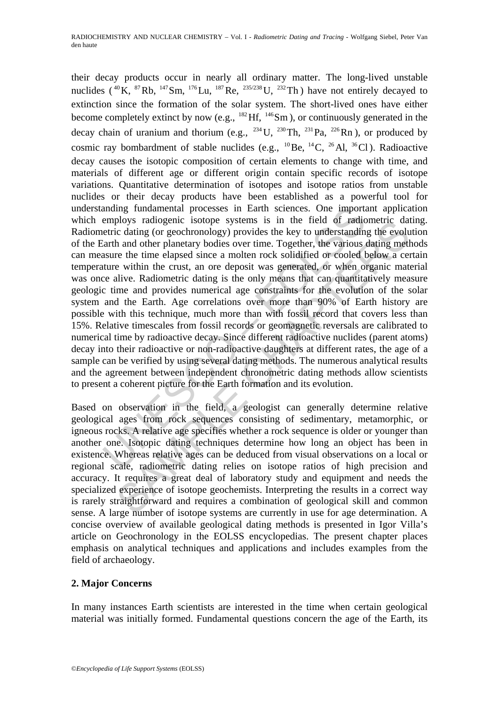anding fundamental processes in Earth sciences. One importation<br>employs radiogenic isotope systems is in the field of radic<br>entric dating (or geochronology) provides the key to understandin<br>and other planetary bodies over propyr andogene isotop systems is in the held of radiometre data<br>propyr strains (or geochronology) provides the key to understanding the evolution<br>h and other planetary bodies over time. Together, the various dating melt<br>e their decay products occur in nearly all ordinary matter. The long-lived unstable nuclides ( $^{40}$ K,  $^{87}$ Rb,  $^{147}$ Sm,  $^{176}$ Lu,  $^{187}$ Re,  $^{235/238}$ U,  $^{232}$ Th) have not entirely decayed to extinction since the formation of the solar system. The short-lived ones have either become completely extinct by now (e.g.,  $^{182}$  Hf,  $^{146}$ Sm), or continuously generated in the decay chain of uranium and thorium (e.g.,  $^{234}$ U,  $^{230}$ Th,  $^{231}$ Pa,  $^{226}$ Rn), or produced by cosmic ray bombardment of stable nuclides (e.g.,  $^{10}$ Be,  $^{14}$ C,  $^{26}$ Al,  $^{36}$ Cl). Radioactive decay causes the isotopic composition of certain elements to change with time, and materials of different age or different origin contain specific records of isotope variations. Quantitative determination of isotopes and isotope ratios from unstable nuclides or their decay products have been established as a powerful tool for understanding fundamental processes in Earth sciences. One important application which employs radiogenic isotope systems is in the field of radiometric dating. Radiometric dating (or geochronology) provides the key to understanding the evolution of the Earth and other planetary bodies over time. Together, the various dating methods can measure the time elapsed since a molten rock solidified or cooled below a certain temperature within the crust, an ore deposit was generated, or when organic material was once alive. Radiometric dating is the only means that can quantitatively measure geologic time and provides numerical age constraints for the evolution of the solar system and the Earth. Age correlations over more than 90% of Earth history are possible with this technique, much more than with fossil record that covers less than 15%. Relative timescales from fossil records or geomagnetic reversals are calibrated to numerical time by radioactive decay. Since different radioactive nuclides (parent atoms) decay into their radioactive or non-radioactive daughters at different rates, the age of a sample can be verified by using several dating methods. The numerous analytical results and the agreement between independent chronometric dating methods allow scientists to present a coherent picture for the Earth formation and its evolution.

Based on observation in the field, a geologist can generally determine relative geological ages from rock sequences consisting of sedimentary, metamorphic, or igneous rocks. A relative age specifies whether a rock sequence is older or younger than another one. Isotopic dating techniques determine how long an object has been in existence. Whereas relative ages can be deduced from visual observations on a local or regional scale, radiometric dating relies on isotope ratios of high precision and accuracy. It requires a great deal of laboratory study and equipment and needs the specialized experience of isotope geochemists. Interpreting the results in a correct way is rarely straightforward and requires a combination of geological skill and common sense. A large number of isotope systems are currently in use for age determination. A concise overview of available geological dating methods is presented in Igor Villa's article on Geochronology in the EOLSS encyclopedias. The present chapter places emphasis on analytical techniques and applications and includes examples from the field of archaeology.

# **2. Major Concerns**

In many instances Earth scientists are interested in the time when certain geological material was initially formed. Fundamental questions concern the age of the Earth, its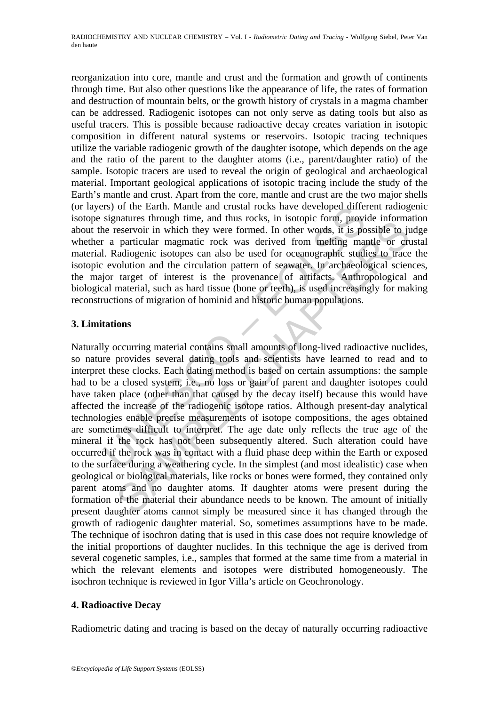reorganization into core, mantle and crust and the formation and growth of continents through time. But also other questions like the appearance of life, the rates of formation and destruction of mountain belts, or the growth history of crystals in a magma chamber can be addressed. Radiogenic isotopes can not only serve as dating tools but also as useful tracers. This is possible because radioactive decay creates variation in isotopic composition in different natural systems or reservoirs. Isotopic tracing techniques utilize the variable radiogenic growth of the daughter isotope, which depends on the age and the ratio of the parent to the daughter atoms (i.e., parent/daughter ratio) of the sample. Isotopic tracers are used to reveal the origin of geological and archaeological material. Important geological applications of isotopic tracing include the study of the Earth's mantle and crust. Apart from the core, mantle and crust are the two major shells (or layers) of the Earth. Mantle and crustal rocks have developed different radiogenic isotope signatures through time, and thus rocks, in isotopic form, provide information about the reservoir in which they were formed. In other words, it is possible to judge whether a particular magmatic rock was derived from melting mantle or crustal material. Radiogenic isotopes can also be used for oceanographic studies to trace the isotopic evolution and the circulation pattern of seawater. In archaeological sciences, the major target of interest is the provenance of artifacts. Anthropological and biological material, such as hard tissue (bone or teeth), is used increasingly for making reconstructions of migration of hominid and historic human populations.

# **3. Limitations**

Iss) of the Earth. Mantle and crustal rocks have developed diffeer signatures through time, and thus rocks, in isotopic form, provising the reservoir in which they were formed. In other words, it is positive a particular m mannes into the circuit of interesting than the stocks, in isotopic form, power morninal energy energy in which they were formed. In other words, it is possible to just<br>particular magnatic rock was derived from melting man Naturally occurring material contains small amounts of long-lived radioactive nuclides, so nature provides several dating tools and scientists have learned to read and to interpret these clocks. Each dating method is based on certain assumptions: the sample had to be a closed system, i.e., no loss or gain of parent and daughter isotopes could have taken place (other than that caused by the decay itself) because this would have affected the increase of the radiogenic isotope ratios. Although present-day analytical technologies enable precise measurements of isotope compositions, the ages obtained are sometimes difficult to interpret. The age date only reflects the true age of the mineral if the rock has not been subsequently altered. Such alteration could have occurred if the rock was in contact with a fluid phase deep within the Earth or exposed to the surface during a weathering cycle. In the simplest (and most idealistic) case when geological or biological materials, like rocks or bones were formed, they contained only parent atoms and no daughter atoms. If daughter atoms were present during the formation of the material their abundance needs to be known. The amount of initially present daughter atoms cannot simply be measured since it has changed through the growth of radiogenic daughter material. So, sometimes assumptions have to be made. The technique of isochron dating that is used in this case does not require knowledge of the initial proportions of daughter nuclides. In this technique the age is derived from several cogenetic samples, i.e., samples that formed at the same time from a material in which the relevant elements and isotopes were distributed homogeneously. The isochron technique is reviewed in Igor Villa's article on Geochronology.

# **4. Radioactive Decay**

Radiometric dating and tracing is based on the decay of naturally occurring radioactive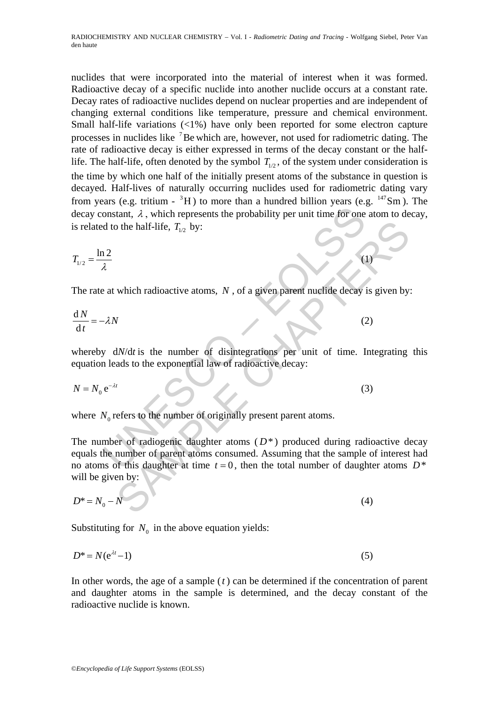nuclides that were incorporated into the material of interest when it was formed. Radioactive decay of a specific nuclide into another nuclide occurs at a constant rate. Decay rates of radioactive nuclides depend on nuclear properties and are independent of changing external conditions like temperature, pressure and chemical environment. Small half-life variations (<1%) have only been reported for some electron capture processes in nuclides like <sup>7</sup>Be which are, however, not used for radiometric dating. The rate of radioactive decay is either expressed in terms of the decay constant or the halflife. The half-life, often denoted by the symbol  $T_{1/2}$ , of the system under consideration is the time by which one half of the initially present atoms of the substance in question is decayed. Half-lives of naturally occurring nuclides used for radiometric dating vary from years (e.g. tritium -  ${}^{3}H$ ) to more than a hundred billion years (e.g.  ${}^{147}Sm$ ). The decay constant,  $\lambda$ , which represents the probability per unit time for one atom to decay, is related to the half-life,  $T_{1/2}$  by:

$$
T_{1/2} = \frac{\ln 2}{\lambda} \tag{1}
$$

The rate at which radioactive atoms, N, of a given parent nuclide decay is given by:

$$
\frac{dN}{dt} = -\lambda N \tag{2}
$$

whereby  $dN/dt$  is the number of disintegrations per unit of time. Integrating this equation leads to the exponential law of radioactive decay:

$$
N = N_0 e^{-\lambda t} \tag{3}
$$

where  $N_0$  refers to the number of originally present parent atoms.

UNESCO – EOLSS o the half-life,  $T_{1/2}$  by:<br>
which radioactive atoms, N, of a given parent nuclide decay is given by<br>
W/dt is the number of disintegrations per unit of time. Integrating<br>
ads to the exponential law of radioactive decay: The number of radiogenic daughter atoms  $(D^*)$  produced during radioactive decay equals the number of parent atoms consumed. Assuming that the sample of interest had no atoms of this daughter at time  $t = 0$ , then the total number of daughter atoms  $D^*$ will be given by:

$$
D^* = N_0 - N \tag{4}
$$

Substituting for  $N_0$  in the above equation yields:

$$
D^* = N(e^{\lambda t} - 1) \tag{5}
$$

In other words, the age of a sample (*t* ) can be determined if the concentration of parent and daughter atoms in the sample is determined, and the decay constant of the radioactive nuclide is known.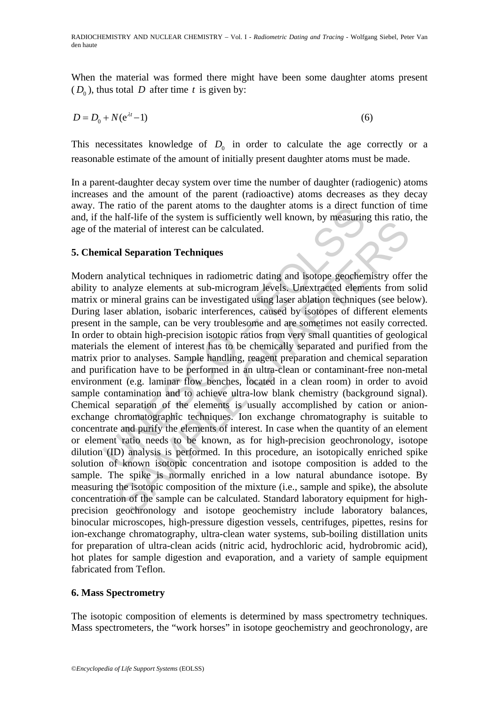When the material was formed there might have been some daughter atoms present  $(D_0)$ , thus total *D* after time *t* is given by:

$$
D = D_0 + N(e^{\lambda t} - 1) \tag{6}
$$

This necessitates knowledge of  $D_0$  in order to calculate the age correctly or a reasonable estimate of the amount of initially present daughter atoms must be made.

In a parent-daughter decay system over time the number of daughter (radiogenic) atoms increases and the amount of the parent (radioactive) atoms decreases as they decay away. The ratio of the parent atoms to the daughter atoms is a direct function of time and, if the half-life of the system is sufficiently well known, by measuring this ratio, the age of the material of interest can be calculated.

#### **5. Chemical Separation Techniques**

The ratio of the parent atoms to the daughter atoms is a direct rule half-life of the system is sufficiently well known, by measurin the material of interest can be calculated.<br>
Incal **Separation Techniques**<br>
analytical te material of interest can be calculated.<br>
and material of interest can be calculated.<br>
and Separation Techniques<br>
alytical techniques in radiometric dating and isotope geochemistry offer<br>
malyzical techniques in radiometric Modern analytical techniques in radiometric dating and isotope geochemistry offer the ability to analyze elements at sub-microgram levels. Unextracted elements from solid matrix or mineral grains can be investigated using laser ablation techniques (see below). During laser ablation, isobaric interferences, caused by isotopes of different elements present in the sample, can be very troublesome and are sometimes not easily corrected. In order to obtain high-precision isotopic ratios from very small quantities of geological materials the element of interest has to be chemically separated and purified from the matrix prior to analyses. Sample handling, reagent preparation and chemical separation and purification have to be performed in an ultra-clean or contaminant-free non-metal environment (e.g. laminar flow benches, located in a clean room) in order to avoid sample contamination and to achieve ultra-low blank chemistry (background signal). Chemical separation of the elements is usually accomplished by cation or anionexchange chromatographic techniques. Ion exchange chromatography is suitable to concentrate and purify the elements of interest. In case when the quantity of an element or element ratio needs to be known, as for high-precision geochronology, isotope dilution (ID) analysis is performed. In this procedure, an isotopically enriched spike solution of known isotopic concentration and isotope composition is added to the sample. The spike is normally enriched in a low natural abundance isotope. By measuring the isotopic composition of the mixture (i.e., sample and spike), the absolute concentration of the sample can be calculated. Standard laboratory equipment for highprecision geochronology and isotope geochemistry include laboratory balances, binocular microscopes, high-pressure digestion vessels, centrifuges, pipettes, resins for ion-exchange chromatography, ultra-clean water systems, sub-boiling distillation units for preparation of ultra-clean acids (nitric acid, hydrochloric acid, hydrobromic acid), hot plates for sample digestion and evaporation, and a variety of sample equipment fabricated from Teflon.

# **6. Mass Spectrometry**

The isotopic composition of elements is determined by mass spectrometry techniques. Mass spectrometers, the "work horses" in isotope geochemistry and geochronology, are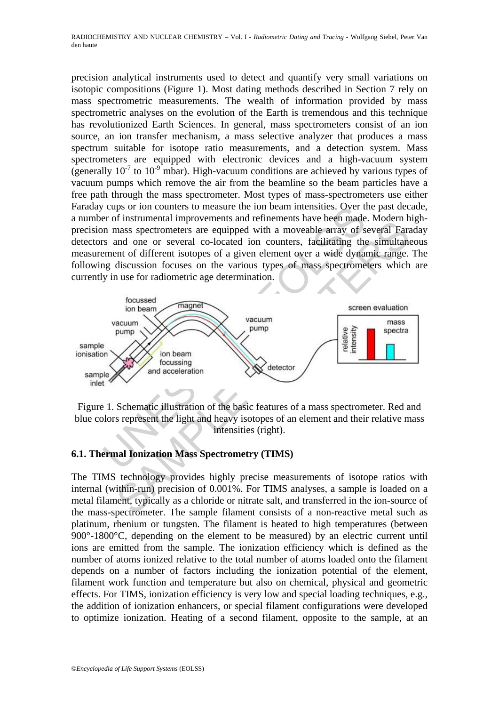RADIOCHEMISTRY AND NUCLEAR CHEMISTRY – Vol. I - *Radiometric Dating and Tracing* - Wolfgang Siebel, Peter Van den haute

precision analytical instruments used to detect and quantify very small variations on isotopic compositions (Figure 1). Most dating methods described in Section 7 rely on mass spectrometric measurements. The wealth of information provided by mass spectrometric analyses on the evolution of the Earth is tremendous and this technique has revolutionized Earth Sciences. In general, mass spectrometers consist of an ion source, an ion transfer mechanism, a mass selective analyzer that produces a mass spectrum suitable for isotope ratio measurements, and a detection system. Mass spectrometers are equipped with electronic devices and a high-vacuum system (generally  $10^{-7}$  to  $10^{-9}$  mbar). High-vacuum conditions are achieved by various types of vacuum pumps which remove the air from the beamline so the beam particles have a free path through the mass spectrometer. Most types of mass-spectrometers use either Faraday cups or ion counters to measure the ion beam intensities. Over the past decade, a number of instrumental improvements and refinements have been made. Modern highprecision mass spectrometers are equipped with a moveable array of several Faraday detectors and one or several co-located ion counters, facilitating the simultaneous measurement of different isotopes of a given element over a wide dynamic range. The following discussion focuses on the various types of mass spectrometers which are currently in use for radiometric age determination.



Figure 1. Schematic illustration of the basic features of a mass spectrometer. Red and blue colors represent the light and heavy isotopes of an element and their relative mass intensities (right).

#### **6.1. Thermal Ionization Mass Spectrometry (TIMS)**

The TIMS technology provides highly precise measurements of isotope ratios with internal (within-run) precision of 0.001%. For TIMS analyses, a sample is loaded on a metal filament, typically as a chloride or nitrate salt, and transferred in the ion-source of the mass-spectrometer. The sample filament consists of a non-reactive metal such as platinum, rhenium or tungsten. The filament is heated to high temperatures (between 900°-1800°C, depending on the element to be measured) by an electric current until ions are emitted from the sample. The ionization efficiency which is defined as the number of atoms ionized relative to the total number of atoms loaded onto the filament depends on a number of factors including the ionization potential of the element, filament work function and temperature but also on chemical, physical and geometric effects. For TIMS, ionization efficiency is very low and special loading techniques, e.g., the addition of ionization enhancers, or special filament configurations were developed to optimize ionization. Heating of a second filament, opposite to the sample, at an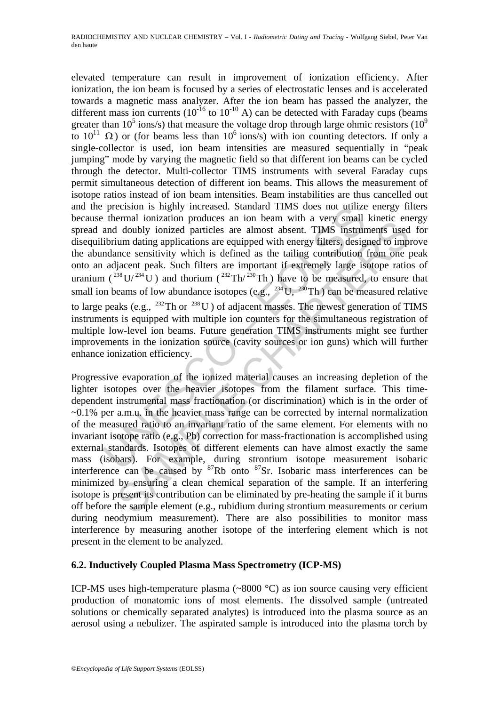precision is highly increased. Standard 1IMS does not utilize<br>thermal ionization produces an ion beam with a very small<br>and doubly ionized particles are almost absent. TIMS instruct<br>ibrium dating applications are equipped elevated temperature can result in improvement of ionization efficiency. After ionization, the ion beam is focused by a series of electrostatic lenses and is accelerated towards a magnetic mass analyzer. After the ion beam has passed the analyzer, the different mass ion currents  $(10^{-16}$  to  $10^{-10}$  A) can be detected with Faraday cups (beams greater than 10<sup>5</sup> ions/s) that measure the voltage drop through large ohmic resistors (10<sup>9</sup>) to  $10^{11}$  Ω) or (for beams less than  $10^6$  ions/s) with ion counting detectors. If only a single-collector is used, ion beam intensities are measured sequentially in "peak jumping" mode by varying the magnetic field so that different ion beams can be cycled through the detector. Multi-collector TIMS instruments with several Faraday cups permit simultaneous detection of different ion beams. This allows the measurement of isotope ratios instead of ion beam intensities. Beam instabilities are thus cancelled out and the precision is highly increased. Standard TIMS does not utilize energy filters because thermal ionization produces an ion beam with a very small kinetic energy spread and doubly ionized particles are almost absent. TIMS instruments used for disequilibrium dating applications are equipped with energy filters, designed to improve the abundance sensitivity which is defined as the tailing contribution from one peak onto an adjacent peak. Such filters are important if extremely large isotope ratios of uranium ( $^{238}$ U/ $^{234}$ U) and thorium ( $^{232}$ Th/ $^{230}$ Th) have to be measured, to ensure that small ion beams of low abundance isotopes (e.g.,  $^{234}$ U,  $^{230}$ Th) can be measured relative to large peaks (e.g.,  $^{232}$ Th or  $^{238}$ U) of adjacent masses. The newest generation of TIMS instruments is equipped with multiple ion counters for the simultaneous registration of multiple low-level ion beams. Future generation TIMS instruments might see further improvements in the ionization source (cavity sources or ion guns) which will further enhance ionization efficiency.

command concation products and only cannel with a "very "somar kinder.<br>I doubly ionized particles are almost absent. TIMS instruments used<br>ium dating applications are equipped with energy filters, designed to imp<br>nonce se Progressive evaporation of the ionized material causes an increasing depletion of the lighter isotopes over the heavier isotopes from the filament surface. This timedependent instrumental mass fractionation (or discrimination) which is in the order of  $\sim 0.1\%$  per a.m.u. in the heavier mass range can be corrected by internal normalization of the measured ratio to an invariant ratio of the same element. For elements with no invariant isotope ratio (e.g., Pb) correction for mass-fractionation is accomplished using external standards. Isotopes of different elements can have almost exactly the same mass (isobars). For example, during strontium isotope measurement isobaric interference can be caused by 87Rb onto 87Sr. Isobaric mass interferences can be minimized by ensuring a clean chemical separation of the sample. If an interfering isotope is present its contribution can be eliminated by pre-heating the sample if it burns off before the sample element (e.g., rubidium during strontium measurements or cerium during neodymium measurement). There are also possibilities to monitor mass interference by measuring another isotope of the interfering element which is not present in the element to be analyzed.

#### **6.2. Inductively Coupled Plasma Mass Spectrometry (ICP-MS)**

ICP-MS uses high-temperature plasma (~8000 °C) as ion source causing very efficient production of monatomic ions of most elements. The dissolved sample (untreated solutions or chemically separated analytes) is introduced into the plasma source as an aerosol using a nebulizer. The aspirated sample is introduced into the plasma torch by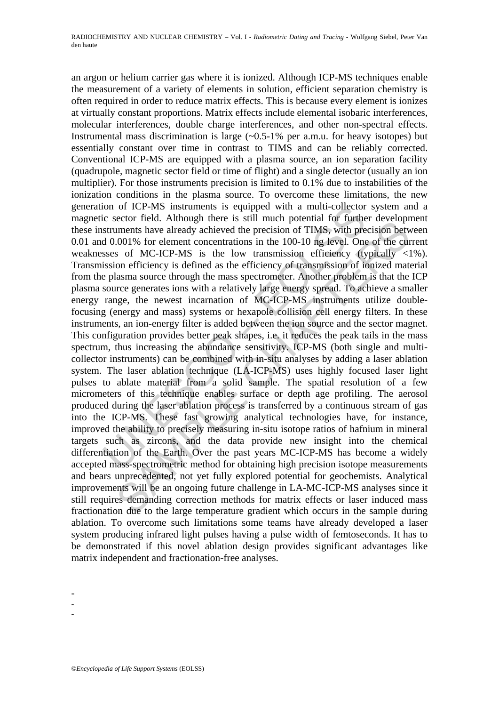is equipped with a multi-collector<br>is equipped with a multi-collector<br>is exero field. Although there is still much potential for furthe<br>struments have already achieved the precision of TIMS, with pre<br>d 0.001% for element c ccourier. Antonegy that is suri mater potcomar for nature (weloperation of the mean for the sof MC-ICP-MS is the low transmission efficiency (typically <001% for element concentrations in the 100-10 ng level. One of the cu an argon or helium carrier gas where it is ionized. Although ICP-MS techniques enable the measurement of a variety of elements in solution, efficient separation chemistry is often required in order to reduce matrix effects. This is because every element is ionizes at virtually constant proportions. Matrix effects include elemental isobaric interferences, molecular interferences, double charge interferences, and other non-spectral effects. Instrumental mass discrimination is large  $(-0.5-1)$ % per a.m.u. for heavy isotopes) but essentially constant over time in contrast to TIMS and can be reliably corrected. Conventional ICP-MS are equipped with a plasma source, an ion separation facility (quadrupole, magnetic sector field or time of flight) and a single detector (usually an ion multiplier). For those instruments precision is limited to 0.1% due to instabilities of the ionization conditions in the plasma source. To overcome these limitations, the new generation of ICP-MS instruments is equipped with a multi-collector system and a magnetic sector field. Although there is still much potential for further development these instruments have already achieved the precision of TIMS, with precision between 0.01 and 0.001% for element concentrations in the 100-10 ng level. One of the current weaknesses of MC-ICP-MS is the low transmission efficiency (typically  $\langle 1\% \rangle$ ). Transmission efficiency is defined as the efficiency of transmission of ionized material from the plasma source through the mass spectrometer. Another problem is that the ICP plasma source generates ions with a relatively large energy spread. To achieve a smaller energy range, the newest incarnation of MC-ICP-MS instruments utilize doublefocusing (energy and mass) systems or hexapole collision cell energy filters. In these instruments, an ion-energy filter is added between the ion source and the sector magnet. This configuration provides better peak shapes, i.e. it reduces the peak tails in the mass spectrum, thus increasing the abundance sensitivity. ICP-MS (both single and multicollector instruments) can be combined with in-situ analyses by adding a laser ablation system. The laser ablation technique (LA-ICP-MS) uses highly focused laser light pulses to ablate material from a solid sample. The spatial resolution of a few micrometers of this technique enables surface or depth age profiling. The aerosol produced during the laser ablation process is transferred by a continuous stream of gas into the ICP-MS. These fast growing analytical technologies have, for instance, improved the ability to precisely measuring in-situ isotope ratios of hafnium in mineral targets such as zircons, and the data provide new insight into the chemical differentiation of the Earth. Over the past years MC-ICP-MS has become a widely accepted mass-spectrometric method for obtaining high precision isotope measurements and bears unprecedented, not yet fully explored potential for geochemists. Analytical improvements will be an ongoing future challenge in LA-MC-ICP-MS analyses since it still requires demanding correction methods for matrix effects or laser induced mass fractionation due to the large temperature gradient which occurs in the sample during ablation. To overcome such limitations some teams have already developed a laser system producing infrared light pulses having a pulse width of femtoseconds. It has to be demonstrated if this novel ablation design provides significant advantages like matrix independent and fractionation-free analyses.

-

-

-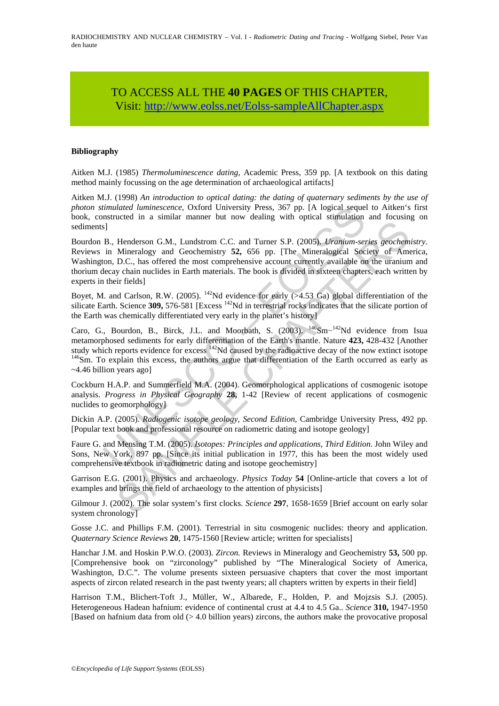# TO ACCESS ALL THE **40 PAGES** OF THIS CHAPTER, Visi[t: http://www.eolss.net/Eolss-sampleAllChapter.aspx](https://www.eolss.net/ebooklib/sc_cart.aspx?File=E6-104-02)

#### **Bibliography**

Aitken M.J. (1985) *Thermoluminescence dating*, Academic Press, 359 pp. [A textbook on this dating method mainly focussing on the age determination of archaeological artifacts]

Aitken M.J. (1998) *An introduction to optical dating: the dating of quaternary sediments by the use of photon stimulated luminescence*, Oxford University Press, 367 pp. [A logical sequel to Aitken's first book, constructed in a similar manner but now dealing with optical stimulation and focusing on sediments]

Bourdon B., Henderson G.M., Lundstrom C.C. and Turner S.P. (2005). *Uranium-series geochemistry.* Reviews in Mineralogy and Geochemistry **52,** 656 pp. [The Mineralogical Society of America, Washington, D.C., has offered the most comprehensive account currently available on the uranium and thorium decay chain nuclides in Earth materials. The book is divided in sixteen chapters, each written by experts in their fields]

Boyet, M. and Carlson, R.W. (2005). <sup>142</sup>Nd evidence for early (>4.53 Ga) global differentiation of the silicate Earth. Science **309,** 576-581 [Excess 142Nd in terrestrial rocks indicates that the silicate portion of the Earth was chemically differentiated very early in the planet's history]

*timulated luminescence*, Oxford University Press, 367 pp. [A logical sequent<br>naturated in a similar manner but now dealing with optical stimulation<br>s]<br>s]<br>B., Henderson G.M., Lundstrom C.C. and Turner S.P. (2005). *Uraniu* Benderson G.M., Lundstron C.C. and Turner S.P. (2005). *Uranium-series geochem*<br>
Minneralogy and Geochemistry 52, 656 pp. [The Mineralogical Society of American<br>
D.C., has offered the most comprehensive account currently Caro, G., Bourdon, B., Birck, J.L. and Moorbath, S. (2003). <sup>146</sup>Sm<sup>-142</sup>Nd evidence from Isua metamorphosed sediments for early differentiation of the Earth's mantle. Nature **423**, 428-432 [Another study which reports evidence for excess<sup>142</sup>Nd caused by the radioactive decay of the now extinct isotope  $146$ Sm. To explain this excess, the authors argue that differentiation of the Earth occurred as early as ~4.46 billion years ago]

Cockburn H.A.P. and Summerfield M.A. (2004). Geomorphological applications of cosmogenic isotope analysis. *Progress in Physical Geography* **28,** 1-42 [Review of recent applications of cosmogenic nuclides to geomorphology]

Dickin A.P. (2005). *Radiogenic isotope geology, Second Edition,* Cambridge University Press, 492 pp. [Popular text book and professional resource on radiometric dating and isotope geology]

Faure G. and Mensing T.M. (2005). *Isotopes: Principles and applications, Third Edition*. John Wiley and Sons, New York, 897 pp. [Since its initial publication in 1977, this has been the most widely used comprehensive textbook in radiometric dating and isotope geochemistry]

Garrison E.G. (2001). Physics and archaeology. *Physics Today* **54** [Online-article that covers a lot of examples and brings the field of archaeology to the attention of physicists]

Gilmour J. (2002). The solar system's first clocks. *Science* **297**, 1658-1659 [Brief account on early solar system chronology]

Gosse J.C. and Phillips F.M. (2001). Terrestrial in situ cosmogenic nuclides: theory and application. *Quaternary Science Reviews* **20**, 1475-1560 [Review article; written for specialists]

Hanchar J.M. and Hoskin P.W.O. (2003). *Zircon.* Reviews in Mineralogy and Geochemistry **53,** 500 pp. [Comprehensive book on "zirconology" published by "The Mineralogical Society of America, Washington, D.C.". The volume presents sixteen persuasive chapters that cover the most important aspects of zircon related research in the past twenty years; all chapters written by experts in their field]

Harrison T.M., Blichert-Toft J., Müller, W., Albarede, F., Holden, P. and Mojzsis S.J. (2005). Heterogeneous Hadean hafnium: evidence of continental crust at 4.4 to 4.5 Ga.. *Science* **310,** 1947-1950 [Based on hafnium data from old  $(> 4.0$  billion years) zircons, the authors make the provocative proposal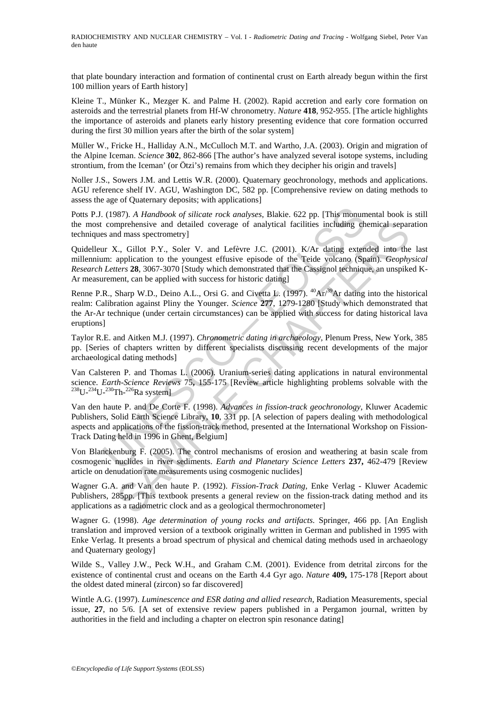that plate boundary interaction and formation of continental crust on Earth already begun within the first 100 million years of Earth history]

Kleine T., Münker K., Mezger K. and Palme H. (2002). Rapid accretion and early core formation on asteroids and the terrestrial planets from Hf-W chronometry. *Nature* **418**, 952-955. [The article highlights the importance of asteroids and planets early history presenting evidence that core formation occurred during the first 30 million years after the birth of the solar system]

Müller W., Fricke H., Halliday A.N., McCulloch M.T. and Wartho, J.A. (2003). Origin and migration of the Alpine Iceman. *Science* **302**, 862-866 [The author's have analyzed several isotope systems, including strontium, from the Iceman' (or Ötzi's) remains from which they decipher his origin and travels]

Noller J.S., Sowers J.M. and Lettis W.R. (2000). Quaternary geochronology, methods and applications. AGU reference shelf IV. AGU, Washington DC, 582 pp. [Comprehensive review on dating methods to assess the age of Quaternary deposits; with applications]

Potts P.J. (1987). *A Handbook of silicate rock analyses*, Blakie. 622 pp. [This monumental book is still the most comprehensive and detailed coverage of analytical facilities including chemical separation techniques and mass spectrometry]

Quidelleur X., Gillot P.Y., Soler V. and Lefèvre J.C. (2001). K/Ar dating extended into the last millennium: application to the youngest effusive episode of the Teide volcano (Spain). *Geophysical Research Letters* **28**, 3067-3070 [Study which demonstrated that the Cassignol technique, an unspiked K-Ar measurement, can be applied with success for historic dating]

(1987). A Handbook of silicate rock analyses, Blakie. 622 pp. [This monum comprehensive and detailed coverage of analytical facilities including ch s and mass spectrometry]<br>
ur X., Gillot P.Y., Soler V. and Lefevre J.C. ( mprehensive and detailed coverage of analytical facilities including chemical separations<br>and mass spectrometry]<br>C<sub>s</sub>, Gillot P.Y., Soler V. and Lefèvre J.C. (2001). K/Ar dating extended into the<br>application to the younges Renne P.R., Sharp W.D., Deino A.L., Orsi G. and Civetta L. (1997).  $^{40}Ar^{39}Ar$  dating into the historical realm: Calibration against Pliny the Younger. *Science* **277**, 1279-1280 [Study which demonstrated that the Ar-Ar technique (under certain circumstances) can be applied with success for dating historical lava eruptions]

Taylor R.E. and Aitken M.J. (1997). *Chronometric dating in archaeology,* Plenum Press, New York, 385 pp. [Series of chapters written by different specialists discussing recent developments of the major archaeological dating methods]

Van Calsteren P. and Thomas L. (2006). Uranium-series dating applications in natural environmental science. *Earth-Science Reviews* 75, 155-175 [Review article highlighting problems solvable with the <sup>238</sup>U-<sup>234</sup>U-<sup>230</sup>Th-<sup>226</sup>Ra system]

Van den haute P. and De Corte F. (1998). *Advances in fission-track geochronology,* Kluwer Academic Publishers, Solid Earth Science Library, **10**, 331 pp. [A selection of papers dealing with methodological aspects and applications of the fission-track method, presented at the International Workshop on Fission-Track Dating held in 1996 in Ghent, Belgium]

Von Blanckenburg F. (2005). The control mechanisms of erosion and weathering at basin scale from cosmogenic nuclides in river sediments. *Earth and Planetary Science Letters* **237,** 462-479 [Review article on denudation rate measurements using cosmogenic nuclides]

Wagner G.A. and Van den haute P. (1992). *Fission-Track Dating,* Enke Verlag - Kluwer Academic Publishers, 285pp. [This textbook presents a general review on the fission-track dating method and its applications as a radiometric clock and as a geological thermochronometer]

Wagner G. (1998). *Age determination of young rocks and artifacts*. Springer, 466 pp. [An English translation and improved version of a textbook originally written in German and published in 1995 with Enke Verlag. It presents a broad spectrum of physical and chemical dating methods used in archaeology and Quaternary geology]

Wilde S., Valley J.W., Peck W.H., and Graham C.M. (2001). Evidence from detrital zircons for the existence of continental crust and oceans on the Earth 4.4 Gyr ago. *Nature* **409,** 175-178 [Report about the oldest dated mineral (zircon) so far discovered]

Wintle A.G. (1997). *Luminescence and ESR dating and allied research*, Radiation Measurements, special issue, **27**, no 5/6. [A set of extensive review papers published in a Pergamon journal, written by authorities in the field and including a chapter on electron spin resonance dating]